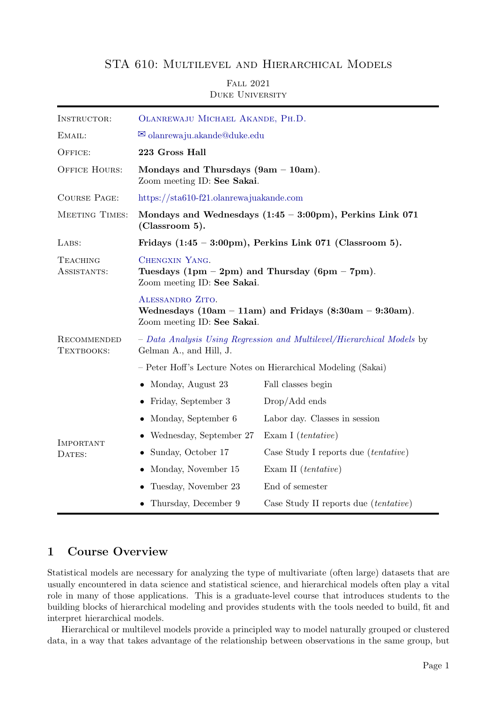### STA 610: Multilevel and Hierarchical Models

### Fall 2021 Duke University

| INSTRUCTOR:                                             | OLANREWAJU MICHAEL AKANDE, PH.D.                                                                                |                                              |  |
|---------------------------------------------------------|-----------------------------------------------------------------------------------------------------------------|----------------------------------------------|--|
| EMAIL:                                                  | $\boxtimes$ olanrewaju.akande@duke.edu                                                                          |                                              |  |
| OFFICE:                                                 | 223 Gross Hall                                                                                                  |                                              |  |
| <b>OFFICE HOURS:</b>                                    | Mondays and Thursdays $(9am - 10am)$ .<br>Zoom meeting ID: See Sakai.                                           |                                              |  |
| <b>COURSE PAGE:</b>                                     | https://sta610-f21.olanrewajuakande.com                                                                         |                                              |  |
| MEETING TIMES:                                          | Mondays and Wednesdays $(1:45 - 3:00 \text{pm})$ , Perkins Link 071<br>(Classroom 5).                           |                                              |  |
| LABS:                                                   | Fridays $(1:45 - 3:00 \text{pm})$ , Perkins Link 071 (Classroom 5).                                             |                                              |  |
| <b>TEACHING</b><br>ASSISTANTS:                          | CHENGXIN YANG.<br>Tuesdays $(1pm - 2pm)$ and Thursday $(6pm - 7pm)$ .<br>Zoom meeting ID: See Sakai.            |                                              |  |
|                                                         | ALESSANDRO ZITO.<br>Wednesdays $(10am - 11am)$ and Fridays $(8:30am - 9:30am)$ .<br>Zoom meeting ID: See Sakai. |                                              |  |
| RECOMMENDED<br>TEXTBOOKS:<br><b>IMPORTANT</b><br>DATES: | - Data Analysis Using Regression and Multilevel/Hierarchical Models by<br>Gelman A., and Hill, J.               |                                              |  |
|                                                         | - Peter Hoff's Lecture Notes on Hierarchical Modeling (Sakai)                                                   |                                              |  |
|                                                         | • Monday, August $23$                                                                                           | Fall classes begin                           |  |
|                                                         | • Friday, September 3                                                                                           | $Drop/Add$ ends                              |  |
|                                                         | • Monday, September $6$                                                                                         | Labor day. Classes in session                |  |
|                                                         | Wednesday, September 27                                                                                         | Exam I $(tentative)$                         |  |
|                                                         | Sunday, October 17                                                                                              | Case Study I reports due <i>(tentative)</i>  |  |
|                                                         | Monday, November 15                                                                                             | Exam II $(tentative)$                        |  |
|                                                         | Tuesday, November 23                                                                                            | End of semester                              |  |
|                                                         | • Thursday, December 9                                                                                          | Case Study II reports due <i>(tentative)</i> |  |

### 1 Course Overview

Statistical models are necessary for analyzing the type of multivariate (often large) datasets that are usually encountered in data science and statistical science, and hierarchical models often play a vital role in many of those applications. This is a graduate-level course that introduces students to the building blocks of hierarchical modeling and provides students with the tools needed to build, fit and interpret hierarchical models.

Hierarchical or multilevel models provide a principled way to model naturally grouped or clustered data, in a way that takes advantage of the relationship between observations in the same group, but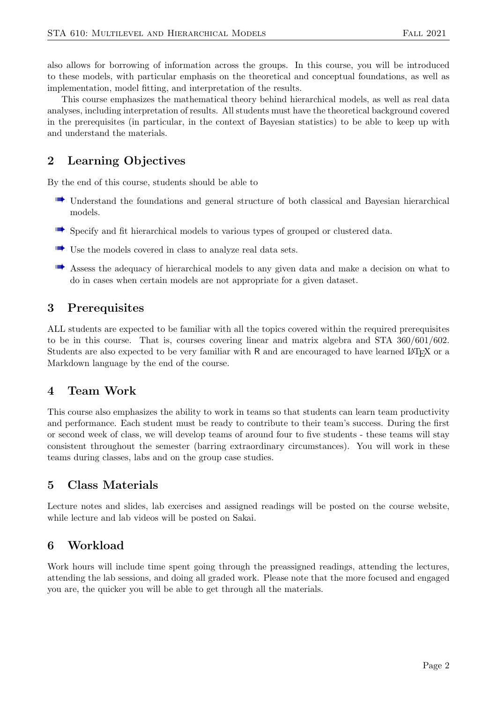also allows for borrowing of information across the groups. In this course, you will be introduced to these models, with particular emphasis on the theoretical and conceptual foundations, as well as implementation, model fitting, and interpretation of the results.

This course emphasizes the mathematical theory behind hierarchical models, as well as real data analyses, including interpretation of results. All students must have the theoretical background covered in the prerequisites (in particular, in the context of Bayesian statistics) to be able to keep up with and understand the materials.

# 2 Learning Objectives

By the end of this course, students should be able to

- w Understand the foundations and general structure of both classical and Bayesian hierarchical models.
- WE Specify and fit hierarchical models to various types of grouped or clustered data.
- WE Use the models covered in class to analyze real data sets.
- **WE** Assess the adequacy of hierarchical models to any given data and make a decision on what to do in cases when certain models are not appropriate for a given dataset.

# 3 Prerequisites

ALL students are expected to be familiar with all the topics covered within the required prerequisites to be in this course. That is, courses covering linear and matrix algebra and STA 360/601/602. Students are also expected to be very familiar with R and are encouraged to have learned LATEX or a Markdown language by the end of the course.

## 4 Team Work

This course also emphasizes the ability to work in teams so that students can learn team productivity and performance. Each student must be ready to contribute to their team's success. During the first or second week of class, we will develop teams of around four to five students - these teams will stay consistent throughout the semester (barring extraordinary circumstances). You will work in these teams during classes, labs and on the group case studies.

### 5 Class Materials

Lecture notes and slides, lab exercises and assigned readings will be posted on the course website, while lecture and lab videos will be posted on Sakai.

## 6 Workload

Work hours will include time spent going through the preassigned readings, attending the lectures, attending the lab sessions, and doing all graded work. Please note that the more focused and engaged you are, the quicker you will be able to get through all the materials.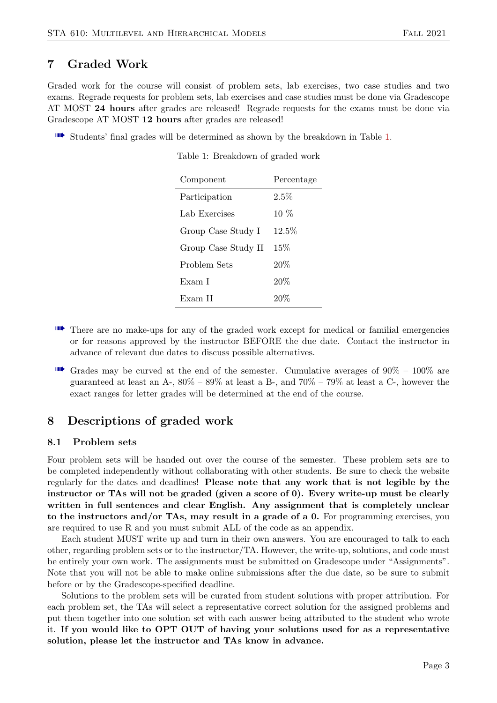## 7 Graded Work

Graded work for the course will consist of problem sets, lab exercises, two case studies and two exams. Regrade requests for problem sets, lab exercises and case studies must be done via Gradescope AT MOST 24 hours after grades are released! Regrade requests for the exams must be done via Gradescope AT MOST 12 hours after grades are released!

<span id="page-2-0"></span> $\blacksquare$  Students' final grades will be determined as shown by the breakdown in Table [1.](#page-2-0)

Table 1: Breakdown of graded work

| Component           | Percentage |
|---------------------|------------|
| Participation       | $2.5\%$    |
| Lab Exercises       | $10\%$     |
| Group Case Study I  | $12.5\%$   |
| Group Case Study II | $15\%$     |
| Problem Sets        | 20%        |
| Exam I              | 20%        |
| Exam II             | 20%        |

- **WE** There are no make-ups for any of the graded work except for medical or familial emergencies or for reasons approved by the instructor BEFORE the due date. Contact the instructor in advance of relevant due dates to discuss possible alternatives.
- $\blacksquare$  Grades may be curved at the end of the semester. Cumulative averages of  $90\% 100\%$  are guaranteed at least an A-,  $80\% - 89\%$  at least a B-, and  $70\% - 79\%$  at least a C-, however the exact ranges for letter grades will be determined at the end of the course.

### 8 Descriptions of graded work

#### 8.1 Problem sets

Four problem sets will be handed out over the course of the semester. These problem sets are to be completed independently without collaborating with other students. Be sure to check the website regularly for the dates and deadlines! Please note that any work that is not legible by the instructor or TAs will not be graded (given a score of 0). Every write-up must be clearly written in full sentences and clear English. Any assignment that is completely unclear to the instructors and/or TAs, may result in a grade of a 0. For programming exercises, you are required to use R and you must submit ALL of the code as an appendix.

Each student MUST write up and turn in their own answers. You are encouraged to talk to each other, regarding problem sets or to the instructor/TA. However, the write-up, solutions, and code must be entirely your own work. The assignments must be submitted on Gradescope under "Assignments". Note that you will not be able to make online submissions after the due date, so be sure to submit before or by the Gradescope-specified deadline.

Solutions to the problem sets will be curated from student solutions with proper attribution. For each problem set, the TAs will select a representative correct solution for the assigned problems and put them together into one solution set with each answer being attributed to the student who wrote it. If you would like to OPT OUT of having your solutions used for as a representative solution, please let the instructor and TAs know in advance.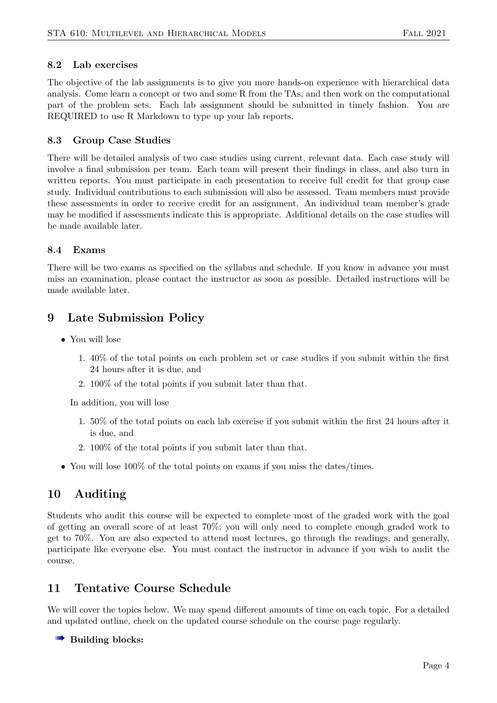### 8.2 Lab exercises

The objective of the lab assignments is to give you more hands-on experience with hierarchical data analysis. Come learn a concept or two and some R from the TAs, and then work on the computational part of the problem sets. Each lab assignment should be submitted in timely fashion. You are REQUIRED to use R Markdown to type up your lab reports.

### 8.3 Group Case Studies

There will be detailed analysis of two case studies using current, relevant data. Each case study will involve a final submission per team. Each team will present their findings in class, and also turn in written reports. You must participate in each presentation to receive full credit for that group case study. Individual contributions to each submission will also be assessed. Team members must provide these assessments in order to receive credit for an assignment. An individual team member's grade may be modified if assessments indicate this is appropriate. Additional details on the case studies will be made available later.

### 8.4 Exams

There will be two exams as specified on the syllabus and schedule. If you know in advance you must miss an examination, please contact the instructor as soon as possible. Detailed instructions will be made available later.

## 9 Late Submission Policy

- You will lose
	- 1. 40% of the total points on each problem set or case studies if you submit within the first 24 hours after it is due, and
	- 2. 100% of the total points if you submit later than that.

In addition, you will lose

- 1. 50% of the total points on each lab exercise if you submit within the first 24 hours after it is due, and
- 2. 100% of the total points if you submit later than that.
- You will lose 100% of the total points on exams if you miss the dates/times.

## 10 Auditing

Students who audit this course will be expected to complete most of the graded work with the goal of getting an overall score of at least 70%; you will only need to complete enough graded work to get to 70%. You are also expected to attend most lectures, go through the readings, and generally, participate like everyone else. You must contact the instructor in advance if you wish to audit the course.

## 11 Tentative Course Schedule

We will cover the topics below. We may spend different amounts of time on each topic. For a detailed and updated outline, check on the updated course schedule on the course page regularly.

### $\blacksquare$  Building blocks: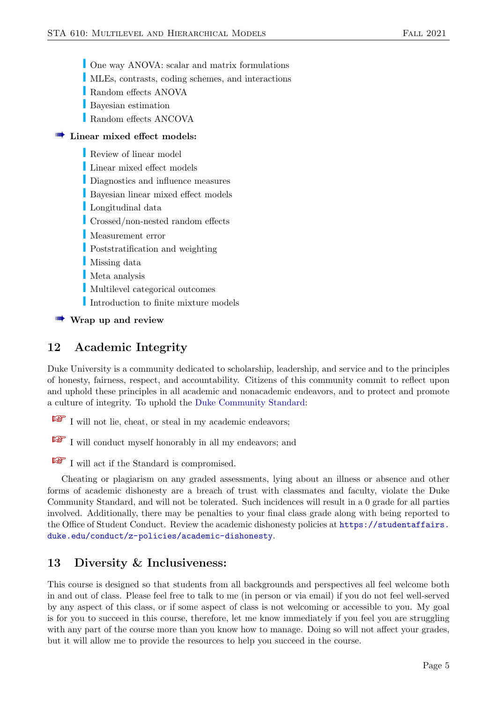- One way ANOVA: scalar and matrix formulations
- u MLEs, contrasts, coding schemes, and interactions
- Random effects ANOVA
- **Bayesian estimation**
- Random effects ANCOVA

### $\blacksquare$  Linear mixed effect models:

- Review of linear model
- **Linear mixed effect models**
- Diagnostics and influence measures
- Bayesian linear mixed effect models
- Longitudinal data
- $\Gamma$  Crossed/non-nested random effects
- Measurement error
- **Poststratification and weighting**
- I Missing data
- Meta analysis
- Multilevel categorical outcomes
- Introduction to finite mixture models

#### Wrap up and review

## 12 Academic Integrity

Duke University is a community dedicated to scholarship, leadership, and service and to the principles of honesty, fairness, respect, and accountability. Citizens of this community commit to reflect upon and uphold these principles in all academic and nonacademic endeavors, and to protect and promote a culture of integrity. To uphold the [Duke Community Standard:](https://studentaffairs.duke.edu/conduct/about-us/duke-community-standard)

I will not lie, cheat, or steal in my academic endeavors;

 $\mathbb{R}$  I will conduct myself honorably in all my endeavors; and

I will act if the Standard is compromised.

Cheating or plagiarism on any graded assessments, lying about an illness or absence and other forms of academic dishonesty are a breach of trust with classmates and faculty, violate the Duke Community Standard, and will not be tolerated. Such incidences will result in a 0 grade for all parties involved. Additionally, there may be penalties to your final class grade along with being reported to the Office of Student Conduct. Review the academic dishonesty policies at [https://studentaffairs.](https://studentaffairs.duke.edu/conduct/z-policies/academic-dishonesty) [duke.edu/conduct/z-policies/academic-dishonesty](https://studentaffairs.duke.edu/conduct/z-policies/academic-dishonesty).

### 13 Diversity & Inclusiveness:

This course is designed so that students from all backgrounds and perspectives all feel welcome both in and out of class. Please feel free to talk to me (in person or via email) if you do not feel well-served by any aspect of this class, or if some aspect of class is not welcoming or accessible to you. My goal is for you to succeed in this course, therefore, let me know immediately if you feel you are struggling with any part of the course more than you know how to manage. Doing so will not affect your grades, but it will allow me to provide the resources to help you succeed in the course.